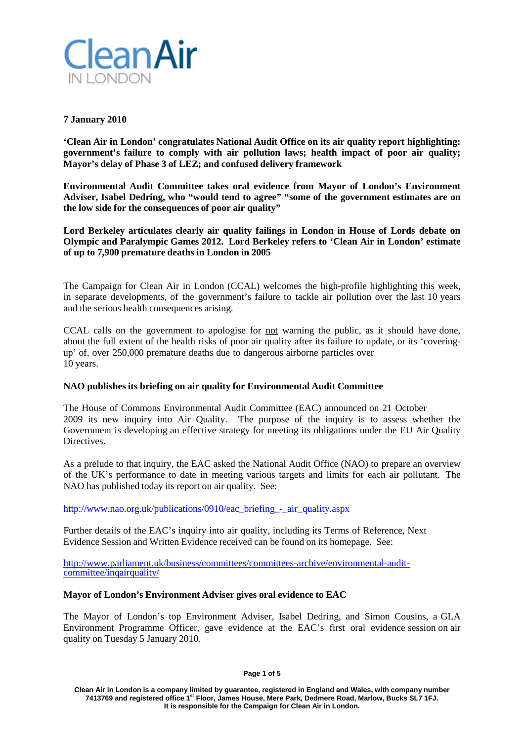

# **7 January 2010**

**'Clean Air in London' congratulates National Audit Office on its air quality report highlighting: government's failure to comply with air pollution laws; health impact of poor air quality; Mayor's delay of Phase 3 of LEZ; and confused delivery framework**

**Environmental Audit Committee takes oral evidence from Mayor of London's Environment Adviser, Isabel Dedring, who "would tend to agree" "some of the government estimates are on the low side for the consequences of poor air quality"**

**Lord Berkeley articulates clearly air quality failings in London in House of Lords debate on Olympic and Paralympic Games 2012. Lord Berkeley refers to 'Clean Air in London' estimate of up to 7,900 premature deaths in London in 2005**

The Campaign for Clean Air in London (CCAL) welcomes the high-profile highlighting this week, in separate developments, of the government's failure to tackle air pollution over the last 10 years and the serious health consequences arising.

CCAL calls on the government to apologise for not warning the public, as it should have done, about the full extent of the health risks of poor air quality after its failure to update, or its 'coveringup' of, over 250,000 premature deaths due to dangerous airborne particles over 10 years.

# **NAO publishes its briefing on air quality for Environmental Audit Committee**

The House of Commons Environmental Audit Committee (EAC) announced on 21 October 2009 its new inquiry into Air Quality. The purpose of the inquiry is to assess whether the Government is developing an effective strategy for meeting its obligations under the EU Air Quality Directives.

As a prelude to that inquiry, the EAC asked the National Audit Office (NAO) to prepare an overview of the UK's performance to date in meeting various targets and limits for each air pollutant. The NAO has published today its report on air quality. See:

[http://www.nao.org.uk/publications/0910/eac\\_briefing\\_-\\_air\\_quality.aspx](http://www.nao.org.uk/publications/0910/eac_briefing_-_air_quality.aspx)

Further details of the EAC's inquiry into air quality, including its Terms of Reference, Next Evidence Session and Written Evidence received can be found on its homepage. See:

[http://www.parliament.uk/business/committees/committees-archive/environmental-audit](http://www.parliament.uk/business/committees/committees-archive/environmental-audit-committee/inqairquality/)[committee/inqairquality/](http://www.parliament.uk/business/committees/committees-archive/environmental-audit-committee/inqairquality/)

# **Mayor of London's Environment Adviser gives oral evidence to EAC**

The Mayor of London's top Environment Adviser, Isabel Dedring, and Simon Cousins, a GLA Environment Programme Officer, gave evidence at the EAC's first oral evidence session on air quality on Tuesday 5 January 2010.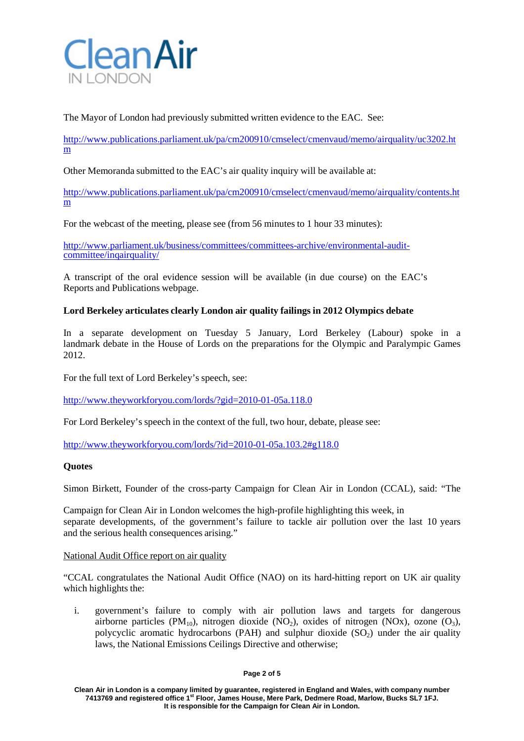

The Mayor of London had previously submitted written evidence to the EAC. See:

[http://www.publications.parliament.uk/pa/cm200910/cmselect/cmenvaud/memo/airquality/uc3202.ht](http://www.publications.parliament.uk/pa/cm200910/cmselect/cmenvaud/memo/airquality/uc3202.htm) [m](http://www.publications.parliament.uk/pa/cm200910/cmselect/cmenvaud/memo/airquality/uc3202.htm)

Other Memoranda submitted to the EAC's air quality inquiry will be available at:

[http://www.publications.parliament.uk/pa/cm200910/cmselect/cmenvaud/memo/airquality/contents.ht](http://www.publications.parliament.uk/pa/cm200910/cmselect/cmenvaud/memo/airquality/contents.htm) [m](http://www.publications.parliament.uk/pa/cm200910/cmselect/cmenvaud/memo/airquality/contents.htm)

For the webcast of the meeting, please see (from 56 minutes to 1 hour 33 minutes):

[http://www.parliament.uk/business/committees/committees-archive/environmental-audit-](http://www.parliament.uk/business/committees/committees-archive/environmental-audit-committee/inqairquality/) [committee/inqairquality/](http://www.parliament.uk/business/committees/committees-archive/environmental-audit-committee/inqairquality/)

A transcript of the oral evidence session will be available (in due course) on the EAC's Reports and Publications webpage.

## **Lord Berkeley articulates clearly London air quality failings in 2012 Olympics debate**

In a separate development on Tuesday 5 January, Lord Berkeley (Labour) spoke in a landmark debate in the House of Lords on the preparations for the Olympic and Paralympic Games 2012.

For the full text of Lord Berkeley's speech, see:

<http://www.theyworkforyou.com/lords/?gid=2010-01-05a.118.0>

For Lord Berkeley's speech in the context of the full, two hour, debate, please see:

[http://www.theyworkforyou.com/lords/?id=2010-01-05a.103.2#g118.0](http://www.theyworkforyou.com/lords/?id=2010-01-05a.103.2&g118.0)

## **Quotes**

Simon Birkett, Founder of the cross-party Campaign for Clean Air in London (CCAL), said: "The

Campaign for Clean Air in London welcomes the high-profile highlighting this week, in separate developments, of the government's failure to tackle air pollution over the last 10 years and the serious health consequences arising."

## National Audit Office report on air quality

"CCAL congratulates the National Audit Office (NAO) on its hard-hitting report on UK air quality which highlights the:

i. government's failure to comply with air pollution laws and targets for dangerous airborne particles (PM<sub>10</sub>), nitrogen dioxide (NO<sub>2</sub>), oxides of nitrogen (NOx), ozone (O<sub>3</sub>), polycyclic aromatic hydrocarbons (PAH) and sulphur dioxide  $(SO<sub>2</sub>)$  under the air quality laws, the National Emissions Ceilings Directive and otherwise;

#### **Page 2 of 5**

**Clean Air in London is a company limited by guarantee, registered in England and Wales, with company number 7413769 and registered office 1st Floor, James House, Mere Park, Dedmere Road, Marlow, Bucks SL7 1FJ. It is responsible for the Campaign for Clean Air in London.**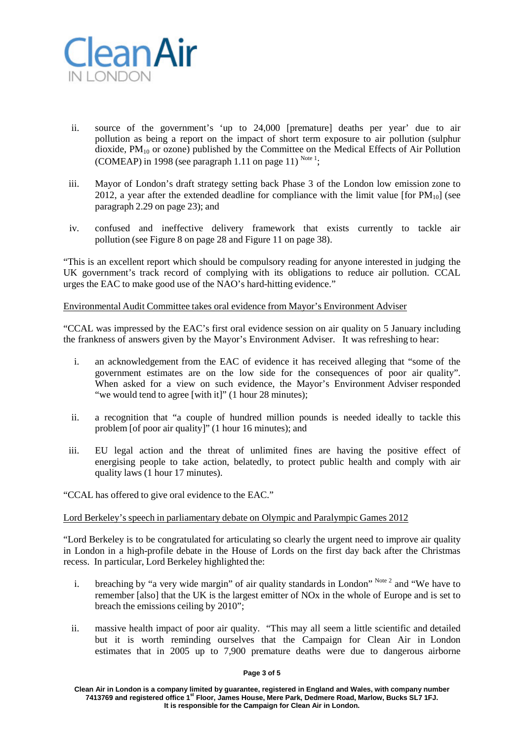

- ii. source of the government's 'up to 24,000 [premature] deaths per year' due to air pollution as being a report on the impact of short term exposure to air pollution (sulphur dioxide,  $PM_{10}$  or ozone) published by the Committee on the Medical Effects of Air Pollution (COMEAP) in 1998 (see paragraph 1.11 on page 11)  $^{Note 1}$ ;
- iii. Mayor of London's draft strategy setting back Phase 3 of the London low emission zone to 2012, a year after the extended deadline for compliance with the limit value [for  $PM_{10}$ ] (see paragraph 2.29 on page 23); and
- iv. confused and ineffective delivery framework that exists currently to tackle air pollution (see Figure 8 on page 28 and Figure 11 on page 38).

"This is an excellent report which should be compulsory reading for anyone interested in judging the UK government's track record of complying with its obligations to reduce air pollution. CCAL urges the EAC to make good use of the NAO's hard-hitting evidence."

Environmental Audit Committee takes oral evidence from Mayor's Environment Adviser

"CCAL was impressed by the EAC's first oral evidence session on air quality on 5 January including the frankness of answers given by the Mayor's Environment Adviser. It was refreshing to hear:

- i. an acknowledgement from the EAC of evidence it has received alleging that "some of the government estimates are on the low side for the consequences of poor air quality". When asked for a view on such evidence, the Mayor's Environment Adviser responded "we would tend to agree [with it]" (1 hour 28 minutes);
- ii. a recognition that "a couple of hundred million pounds is needed ideally to tackle this problem [of poor air quality]" (1 hour 16 minutes); and
- iii. EU legal action and the threat of unlimited fines are having the positive effect of energising people to take action, belatedly, to protect public health and comply with air quality laws (1 hour 17 minutes).

"CCAL has offered to give oral evidence to the EAC."

## Lord Berkeley's speech in parliamentary debate on Olympic and Paralympic Games 2012

"Lord Berkeley is to be congratulated for articulating so clearly the urgent need to improve air quality in London in a high-profile debate in the House of Lords on the first day back after the Christmas recess. In particular, Lord Berkeley highlighted the:

- i. breaching by "a very wide margin" of air quality standards in London"  $^{Note 2}$  and "We have to remember [also] that the UK is the largest emitter of NOx in the whole of Europe and is set to breach the emissions ceiling by 2010";
- ii. massive health impact of poor air quality. "This may all seem a little scientific and detailed but it is worth reminding ourselves that the Campaign for Clean Air in London estimates that in 2005 up to 7,900 premature deaths were due to dangerous airborne

#### **Page 3 of 5**

**Clean Air in London is a company limited by guarantee, registered in England and Wales, with company number 7413769 and registered office 1st Floor, James House, Mere Park, Dedmere Road, Marlow, Bucks SL7 1FJ. It is responsible for the Campaign for Clean Air in London.**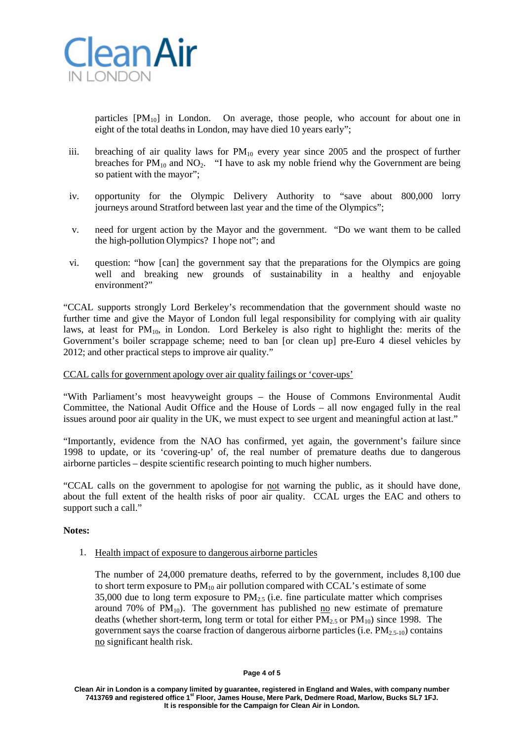

particles  $[PM_{10}]$  in London. On average, those people, who account for about one in eight of the total deaths in London, may have died 10 years early";

- iii. breaching of air quality laws for  $PM_{10}$  every year since 2005 and the prospect of further breaches for  $PM_{10}$  and  $NO_2$ . "I have to ask my noble friend why the Government are being so patient with the mayor";
- iv. opportunity for the Olympic Delivery Authority to "save about 800,000 lorry journeys around Stratford between last year and the time of the Olympics";
- v. need for urgent action by the Mayor and the government. "Do we want them to be called the high-pollution Olympics? I hope not"; and
- vi. question: "how [can] the government say that the preparations for the Olympics are going well and breaking new grounds of sustainability in a healthy and enjoyable environment?"

"CCAL supports strongly Lord Berkeley's recommendation that the government should waste no further time and give the Mayor of London full legal responsibility for complying with air quality laws, at least for  $PM_{10}$ , in London. Lord Berkeley is also right to highlight the: merits of the Government's boiler scrappage scheme; need to ban [or clean up] pre-Euro 4 diesel vehicles by 2012; and other practical steps to improve air quality."

# CCAL calls for government apology over air quality failings or 'cover-ups'

"With Parliament's most heavyweight groups – the House of Commons Environmental Audit Committee, the National Audit Office and the House of Lords – all now engaged fully in the real issues around poor air quality in the UK, we must expect to see urgent and meaningful action at last."

"Importantly, evidence from the NAO has confirmed, yet again, the government's failure since 1998 to update, or its 'covering-up' of, the real number of premature deaths due to dangerous airborne particles – despite scientific research pointing to much higher numbers.

"CCAL calls on the government to apologise for not warning the public, as it should have done, about the full extent of the health risks of poor air quality. CCAL urges the EAC and others to support such a call."

## **Notes:**

1. Health impact of exposure to dangerous airborne particles

The number of 24,000 premature deaths, referred to by the government, includes 8,100 due to short term exposure to  $PM_{10}$  air pollution compared with CCAL's estimate of some 35,000 due to long term exposure to  $PM<sub>2.5</sub>$  (i.e. fine particulate matter which comprises around 70% of  $PM_{10}$ ). The government has published no new estimate of premature deaths (whether short-term, long term or total for either  $PM_{2.5}$  or  $PM_{10}$ ) since 1998. The government says the coarse fraction of dangerous airborne particles (i.e.  $PM_{2.5-10}$ ) contains no significant health risk.

**Clean Air in London is a company limited by guarantee, registered in England and Wales, with company number 7413769 and registered office 1st Floor, James House, Mere Park, Dedmere Road, Marlow, Bucks SL7 1FJ. It is responsible for the Campaign for Clean Air in London.**